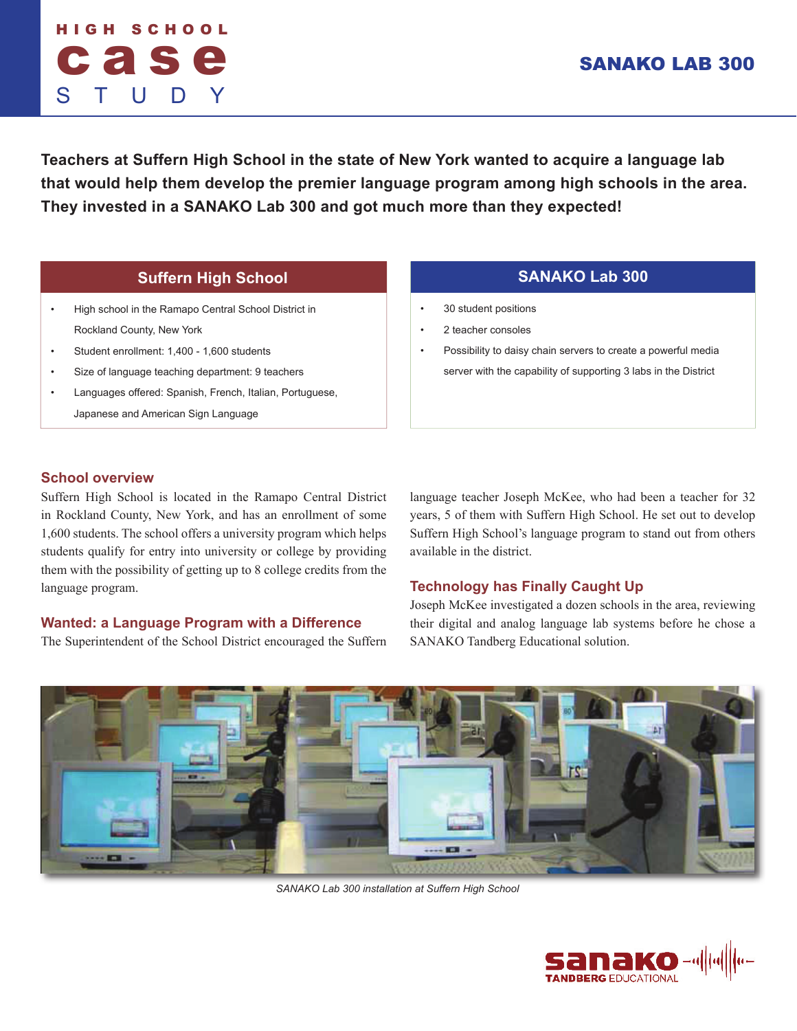# HIGH SCHOOL cas S T U D Y

# SANAKO LAB 300

**Teachers at Suffern High School in the state of New York wanted to acquire a language lab that would help them develop the premier language program among high schools in the area. They invested in a SANAKO Lab 300 and got much more than they expected!**

# **Suffern High School SANAKO Lab 300**

- High school in the Ramapo Central School District in Rockland County, New York
- Student enrollment: 1,400 1,600 students
- Size of language teaching department: 9 teachers
- Languages offered: Spanish, French, Italian, Portuguese, Japanese and American Sign Language

- 30 student positions
- 2 teacher consoles
- Possibility to daisy chain servers to create a powerful media server with the capability of supporting 3 labs in the District

# **School overview**

Suffern High School is located in the Ramapo Central District in Rockland County, New York, and has an enrollment of some 1,600 students. The school offers a university program which helps students qualify for entry into university or college by providing them with the possibility of getting up to 8 college credits from the language program.

# **Wanted: a Language Program with a Difference**

The Superintendent of the School District encouraged the Suffern

language teacher Joseph McKee, who had been a teacher for 32 years, 5 of them with Suffern High School. He set out to develop Suffern High School's language program to stand out from others available in the district.

# **Technology has Finally Caught Up**

Joseph McKee investigated a dozen schools in the area, reviewing their digital and analog language lab systems before he chose a SANAKO Tandberg Educational solution.



*SANAKO Lab 300 installation at Suffern High School*